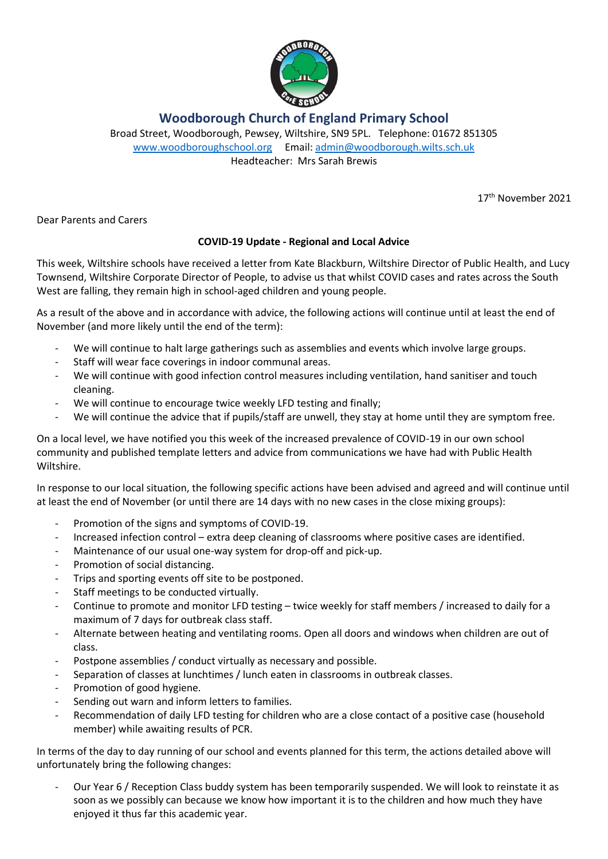

## **Woodborough Church of England Primary School**

Broad Street, Woodborough, Pewsey, Wiltshire, SN9 5PL. Telephone: 01672 851305 [www.woodboroughschool.org](http://www.woodboroughschool.org/) Email: [admin@woodborough.wilts.sch.uk](mailto:admin@woodborough.wilts.sch.uk) Headteacher: Mrs Sarah Brewis

17th November 2021

Dear Parents and Carers

## **COVID-19 Update - Regional and Local Advice**

This week, Wiltshire schools have received a letter from Kate Blackburn, Wiltshire Director of Public Health, and Lucy Townsend, Wiltshire Corporate Director of People, to advise us that whilst COVID cases and rates across the South West are falling, they remain high in school-aged children and young people.

As a result of the above and in accordance with advice, the following actions will continue until at least the end of November (and more likely until the end of the term):

- We will continue to halt large gatherings such as assemblies and events which involve large groups.
- Staff will wear face coverings in indoor communal areas.
- We will continue with good infection control measures including ventilation, hand sanitiser and touch cleaning.
- We will continue to encourage twice weekly LFD testing and finally;
- We will continue the advice that if pupils/staff are unwell, they stay at home until they are symptom free.

On a local level, we have notified you this week of the increased prevalence of COVID-19 in our own school community and published template letters and advice from communications we have had with Public Health Wiltshire.

In response to our local situation, the following specific actions have been advised and agreed and will continue until at least the end of November (or until there are 14 days with no new cases in the close mixing groups):

- Promotion of the signs and symptoms of COVID-19.
- Increased infection control extra deep cleaning of classrooms where positive cases are identified.
- Maintenance of our usual one-way system for drop-off and pick-up.
- Promotion of social distancing.
- Trips and sporting events off site to be postponed.
- Staff meetings to be conducted virtually.
- Continue to promote and monitor LFD testing twice weekly for staff members / increased to daily for a maximum of 7 days for outbreak class staff.
- Alternate between heating and ventilating rooms. Open all doors and windows when children are out of class.
- Postpone assemblies / conduct virtually as necessary and possible.
- Separation of classes at lunchtimes / lunch eaten in classrooms in outbreak classes.
- Promotion of good hygiene.
- Sending out warn and inform letters to families.
- Recommendation of daily LFD testing for children who are a close contact of a positive case (household member) while awaiting results of PCR.

In terms of the day to day running of our school and events planned for this term, the actions detailed above will unfortunately bring the following changes:

Our Year 6 / Reception Class buddy system has been temporarily suspended. We will look to reinstate it as soon as we possibly can because we know how important it is to the children and how much they have enjoyed it thus far this academic year.